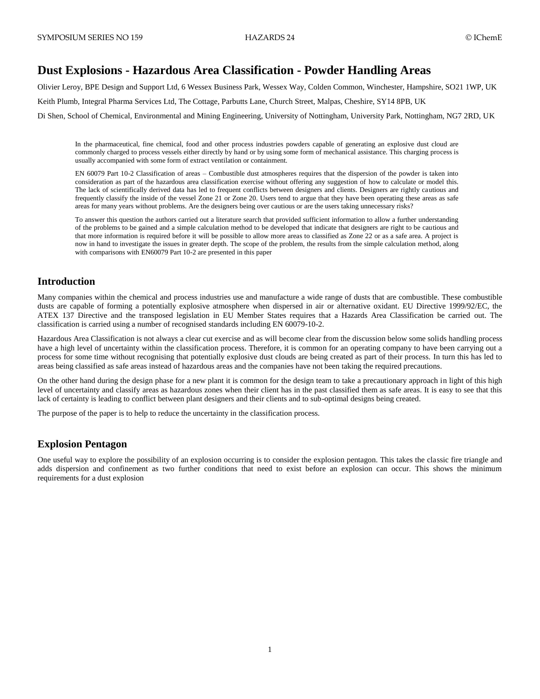# **Dust Explosions - Hazardous Area Classification - Powder Handling Areas**

Olivier Leroy, BPE Design and Support Ltd, 6 Wessex Business Park, Wessex Way, Colden Common, Winchester, Hampshire, SO21 1WP, UK Keith Plumb, Integral Pharma Services Ltd, The Cottage, Parbutts Lane, Church Street, Malpas, Cheshire, SY14 8PB, UK Di Shen, School of Chemical, Environmental and Mining Engineering, University of Nottingham, University Park, Nottingham, NG7 2RD, UK

In the pharmaceutical, fine chemical, food and other process industries powders capable of generating an explosive dust cloud are commonly charged to process vessels either directly by hand or by using some form of mechanical assistance. This charging process is usually accompanied with some form of extract ventilation or containment.

EN 60079 Part 10-2 Classification of areas – Combustible dust atmospheres requires that the dispersion of the powder is taken into consideration as part of the hazardous area classification exercise without offering any suggestion of how to calculate or model this. The lack of scientifically derived data has led to frequent conflicts between designers and clients. Designers are rightly cautious and frequently classify the inside of the vessel Zone 21 or Zone 20. Users tend to argue that they have been operating these areas as safe areas for many years without problems. Are the designers being over cautious or are the users taking unnecessary risks?

To answer this question the authors carried out a literature search that provided sufficient information to allow a further understanding of the problems to be gained and a simple calculation method to be developed that indicate that designers are right to be cautious and that more information is required before it will be possible to allow more areas to classified as Zone 22 or as a safe area. A project is now in hand to investigate the issues in greater depth. The scope of the problem, the results from the simple calculation method, along with comparisons with EN60079 Part 10-2 are presented in this paper

# **Introduction**

Many companies within the chemical and process industries use and manufacture a wide range of dusts that are combustible. These combustible dusts are capable of forming a potentially explosive atmosphere when dispersed in air or alternative oxidant. EU Directive 1999/92/EC, the ATEX 137 Directive and the transposed legislation in EU Member States requires that a Hazards Area Classification be carried out. The classification is carried using a number of recognised standards including EN 60079-10-2.

Hazardous Area Classification is not always a clear cut exercise and as will become clear from the discussion below some solids handling process have a high level of uncertainty within the classification process. Therefore, it is common for an operating company to have been carrying out a process for some time without recognising that potentially explosive dust clouds are being created as part of their process. In turn this has led to areas being classified as safe areas instead of hazardous areas and the companies have not been taking the required precautions.

On the other hand during the design phase for a new plant it is common for the design team to take a precautionary approach in light of this high level of uncertainty and classify areas as hazardous zones when their client has in the past classified them as safe areas. It is easy to see that this lack of certainty is leading to conflict between plant designers and their clients and to sub-optimal designs being created.

The purpose of the paper is to help to reduce the uncertainty in the classification process.

# **Explosion Pentagon**

One useful way to explore the possibility of an explosion occurring is to consider the explosion pentagon. This takes the classic fire triangle and adds dispersion and confinement as two further conditions that need to exist before an explosion can occur. This shows the minimum requirements for a dust explosion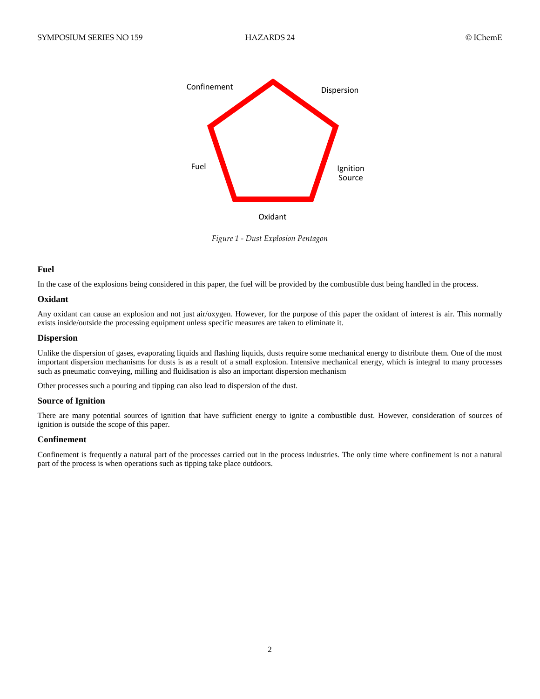

*Figure 1 - Dust Explosion Pentagon*

## **Fuel**

In the case of the explosions being considered in this paper, the fuel will be provided by the combustible dust being handled in the process.

## **Oxidant**

Any oxidant can cause an explosion and not just air/oxygen. However, for the purpose of this paper the oxidant of interest is air. This normally exists inside/outside the processing equipment unless specific measures are taken to eliminate it.

## **Dispersion**

Unlike the dispersion of gases, evaporating liquids and flashing liquids, dusts require some mechanical energy to distribute them. One of the most important dispersion mechanisms for dusts is as a result of a small explosion. Intensive mechanical energy, which is integral to many processes such as pneumatic conveying, milling and fluidisation is also an important dispersion mechanism

Other processes such a pouring and tipping can also lead to dispersion of the dust.

## **Source of Ignition**

There are many potential sources of ignition that have sufficient energy to ignite a combustible dust. However, consideration of sources of ignition is outside the scope of this paper.

#### **Confinement**

Confinement is frequently a natural part of the processes carried out in the process industries. The only time where confinement is not a natural part of the process is when operations such as tipping take place outdoors.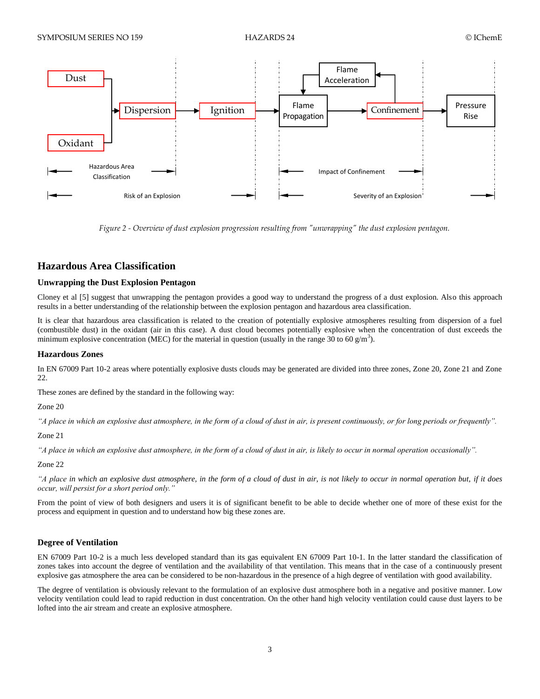

*Figure 2 - Overview of dust explosion progression resulting from "unwrapping" the dust explosion pentagon.*

# **Hazardous Area Classification**

## **Unwrapping the Dust Explosion Pentagon**

Cloney et al [5] suggest that unwrapping the pentagon provides a good way to understand the progress of a dust explosion. Also this approach results in a better understanding of the relationship between the explosion pentagon and hazardous area classification.

It is clear that hazardous area classification is related to the creation of potentially explosive atmospheres resulting from dispersion of a fuel (combustible dust) in the oxidant (air in this case). A dust cloud becomes potentially explosive when the concentration of dust exceeds the minimum explosive concentration (MEC) for the material in question (usually in the range 30 to 60 g/m<sup>3</sup>).

## **Hazardous Zones**

In EN 67009 Part 10-2 areas where potentially explosive dusts clouds may be generated are divided into three zones, Zone 20, Zone 21 and Zone 22.

These zones are defined by the standard in the following way:

Zone 20

*"A place in which an explosive dust atmosphere, in the form of a cloud of dust in air, is present continuously, or for long periods or frequently".* 

Zone 21

*"A place in which an explosive dust atmosphere, in the form of a cloud of dust in air, is likely to occur in normal operation occasionally".*

Zone 22

*"A place in which an explosive dust atmosphere, in the form of a cloud of dust in air, is not likely to occur in normal operation but, if it does occur, will persist for a short period only."*

From the point of view of both designers and users it is of significant benefit to be able to decide whether one of more of these exist for the process and equipment in question and to understand how big these zones are.

## **Degree of Ventilation**

EN 67009 Part 10-2 is a much less developed standard than its gas equivalent EN 67009 Part 10-1. In the latter standard the classification of zones takes into account the degree of ventilation and the availability of that ventilation. This means that in the case of a continuously present explosive gas atmosphere the area can be considered to be non-hazardous in the presence of a high degree of ventilation with good availability.

The degree of ventilation is obviously relevant to the formulation of an explosive dust atmosphere both in a negative and positive manner. Low velocity ventilation could lead to rapid reduction in dust concentration. On the other hand high velocity ventilation could cause dust layers to be lofted into the air stream and create an explosive atmosphere.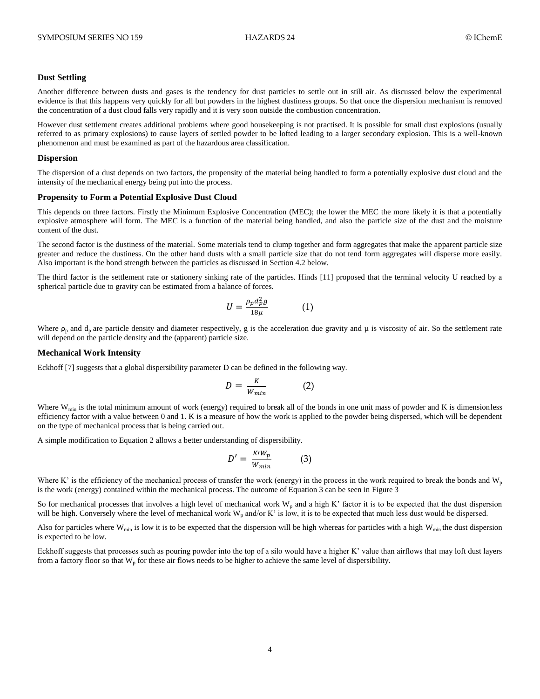#### **Dust Settling**

Another difference between dusts and gases is the tendency for dust particles to settle out in still air. As discussed below the experimental evidence is that this happens very quickly for all but powders in the highest dustiness groups. So that once the dispersion mechanism is removed the concentration of a dust cloud falls very rapidly and it is very soon outside the combustion concentration.

However dust settlement creates additional problems where good housekeeping is not practised. It is possible for small dust explosions (usually referred to as primary explosions) to cause layers of settled powder to be lofted leading to a larger secondary explosion. This is a well-known phenomenon and must be examined as part of the hazardous area classification.

#### **Dispersion**

The dispersion of a dust depends on two factors, the propensity of the material being handled to form a potentially explosive dust cloud and the intensity of the mechanical energy being put into the process.

#### **Propensity to Form a Potential Explosive Dust Cloud**

This depends on three factors. Firstly the Minimum Explosive Concentration (MEC); the lower the MEC the more likely it is that a potentially explosive atmosphere will form. The MEC is a function of the material being handled, and also the particle size of the dust and the moisture content of the dust.

The second factor is the dustiness of the material. Some materials tend to clump together and form aggregates that make the apparent particle size greater and reduce the dustiness. On the other hand dusts with a small particle size that do not tend form aggregates will disperse more easily. Also important is the bond strength between the particles as discussed in Section 4.2 below.

The third factor is the settlement rate or stationery sinking rate of the particles. Hinds [11] proposed that the terminal velocity U reached by a spherical particle due to gravity can be estimated from a balance of forces.

$$
U = \frac{\rho_p d_p^2 g}{18\mu} \tag{1}
$$

Where  $\rho_p$  and  $d_p$  are particle density and diameter respectively, g is the acceleration due gravity and  $\mu$  is viscosity of air. So the settlement rate will depend on the particle density and the (apparent) particle size.

#### **Mechanical Work Intensity**

Eckhoff [7] suggests that a global dispersibility parameter D can be defined in the following way.

$$
D = \frac{K}{W_{min}} \tag{2}
$$

Where  $W_{\text{min}}$  is the total minimum amount of work (energy) required to break all of the bonds in one unit mass of powder and K is dimensionless efficiency factor with a value between 0 and 1. K is a measure of how the work is applied to the powder being dispersed, which will be dependent on the type of mechanical process that is being carried out.

A simple modification to Equation 2 allows a better understanding of dispersibility.

$$
D' = \frac{K \cdot W_p}{W_{min}} \tag{3}
$$

Where K' is the efficiency of the mechanical process of transfer the work (energy) in the process in the work required to break the bonds and  $W_p$ is the work (energy) contained within the mechanical process. The outcome of Equation 3 can be seen i[n Figure 3](#page-4-0)

So for mechanical processes that involves a high level of mechanical work  $W_p$  and a high K' factor it is to be expected that the dust dispersion will be high. Conversely where the level of mechanical work  $W_p$  and/or K' is low, it is to be expected that much less dust would be dispersed.

Also for particles where  $W_{\text{min}}$  is low it is to be expected that the dispersion will be high whereas for particles with a high  $W_{\text{min}}$  the dust dispersion is expected to be low.

Eckhoff suggests that processes such as pouring powder into the top of a silo would have a higher K' value than airflows that may loft dust layers from a factory floor so that  $W_p$  for these air flows needs to be higher to achieve the same level of dispersibility.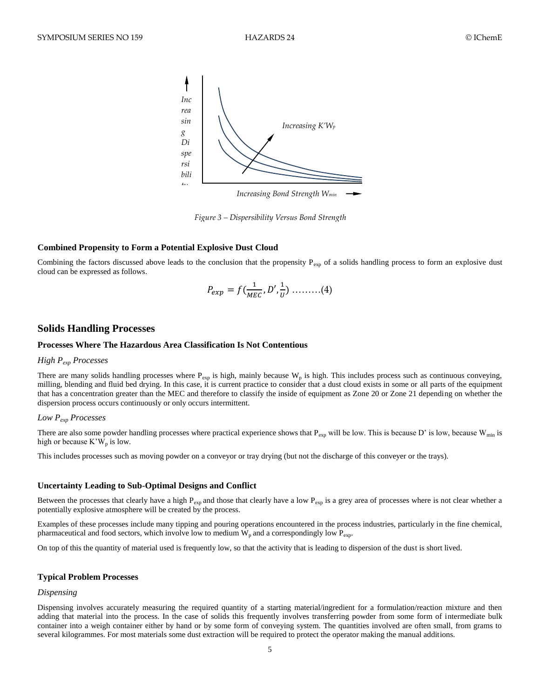

<span id="page-4-0"></span>*Figure 3 – Dispersibility Versus Bond Strength*

#### **Combined Propensity to Form a Potential Explosive Dust Cloud**

Combining the factors discussed above leads to the conclusion that the propensity  $P_{exp}$  of a solids handling process to form an explosive dust cloud can be expressed as follows.

$$
P_{exp} = f(\frac{1}{MEC}, D', \frac{1}{U}) \dots \dots (4)
$$

## **Solids Handling Processes**

## **Processes Where The Hazardous Area Classification Is Not Contentious**

## *High Pexp Processes*

There are many solids handling processes where  $P_{exp}$  is high, mainly because  $W_p$  is high. This includes process such as continuous conveying, milling, blending and fluid bed drying. In this case, it is current practice to consider that a dust cloud exists in some or all parts of the equipment that has a concentration greater than the MEC and therefore to classify the inside of equipment as Zone 20 or Zone 21 depending on whether the dispersion process occurs continuously or only occurs intermittent.

## *Low Pexp Processes*

There are also some powder handling processes where practical experience shows that  $P_{exp}$  will be low. This is because D' is low, because W<sub>min</sub> is high or because  $K^{\prime}W_p$  is low.

This includes processes such as moving powder on a conveyor or tray drying (but not the discharge of this conveyer or the trays).

#### **Uncertainty Leading to Sub-Optimal Designs and Conflict**

Between the processes that clearly have a high  $P_{exp}$  and those that clearly have a low  $P_{exp}$  is a grey area of processes where is not clear whether a potentially explosive atmosphere will be created by the process.

Examples of these processes include many tipping and pouring operations encountered in the process industries, particularly in the fine chemical, pharmaceutical and food sectors, which involve low to medium  $W_p$  and a correspondingly low  $P_{exp}$ .

On top of this the quantity of material used is frequently low, so that the activity that is leading to dispersion of the dust is short lived.

### **Typical Problem Processes**

#### *Dispensing*

Dispensing involves accurately measuring the required quantity of a starting material/ingredient for a formulation/reaction mixture and then adding that material into the process. In the case of solids this frequently involves transferring powder from some form of intermediate bulk container into a weigh container either by hand or by some form of conveying system. The quantities involved are often small, from grams to several kilogrammes. For most materials some dust extraction will be required to protect the operator making the manual additions.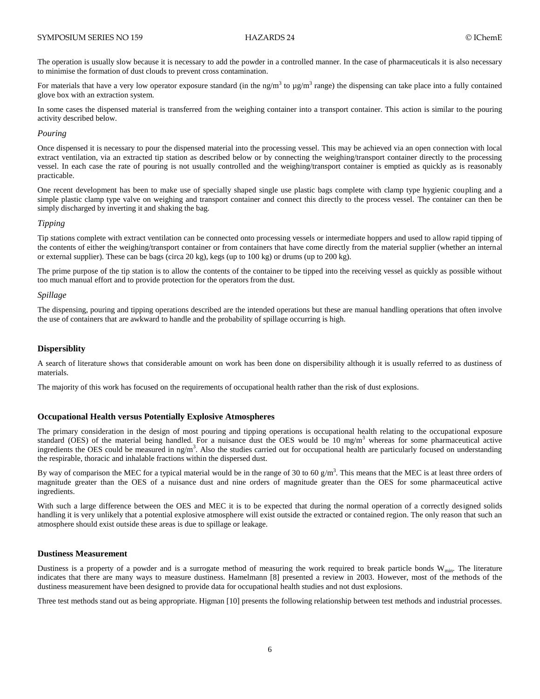The operation is usually slow because it is necessary to add the powder in a controlled manner. In the case of pharmaceuticals it is also necessary to minimise the formation of dust clouds to prevent cross contamination.

For materials that have a very low operator exposure standard (in the ng/m<sup>3</sup> to  $\mu$ g/m<sup>3</sup> range) the dispensing can take place into a fully contained glove box with an extraction system.

In some cases the dispensed material is transferred from the weighing container into a transport container. This action is similar to the pouring activity described below.

### *Pouring*

Once dispensed it is necessary to pour the dispensed material into the processing vessel. This may be achieved via an open connection with local extract ventilation, via an extracted tip station as described below or by connecting the weighing/transport container directly to the processing vessel. In each case the rate of pouring is not usually controlled and the weighing/transport container is emptied as quickly as is reasonably practicable.

One recent development has been to make use of specially shaped single use plastic bags complete with clamp type hygienic coupling and a simple plastic clamp type valve on weighing and transport container and connect this directly to the process vessel. The container can then be simply discharged by inverting it and shaking the bag.

## *Tipping*

Tip stations complete with extract ventilation can be connected onto processing vessels or intermediate hoppers and used to allow rapid tipping of the contents of either the weighing/transport container or from containers that have come directly from the material supplier (whether an internal or external supplier). These can be bags (circa 20 kg), kegs (up to 100 kg) or drums (up to 200 kg).

The prime purpose of the tip station is to allow the contents of the container to be tipped into the receiving vessel as quickly as possible without too much manual effort and to provide protection for the operators from the dust.

#### *Spillage*

The dispensing, pouring and tipping operations described are the intended operations but these are manual handling operations that often involve the use of containers that are awkward to handle and the probability of spillage occurring is high.

## **Dispersiblity**

A search of literature shows that considerable amount on work has been done on dispersibility although it is usually referred to as dustiness of materials.

The majority of this work has focused on the requirements of occupational health rather than the risk of dust explosions.

#### **Occupational Health versus Potentially Explosive Atmospheres**

The primary consideration in the design of most pouring and tipping operations is occupational health relating to the occupational exposure standard (OES) of the material being handled. For a nuisance dust the OES would be  $10 \text{ mg/m}^3$  whereas for some pharmaceutical active ingredients the OES could be measured in  $\frac{ng}{m^3}$ . Also the studies carried out for occupational health are particularly focused on understanding the respirable, thoracic and inhalable fractions within the dispersed dust.

By way of comparison the MEC for a typical material would be in the range of 30 to 60  $g/m<sup>3</sup>$ . This means that the MEC is at least three orders of magnitude greater than the OES of a nuisance dust and nine orders of magnitude greater than the OES for some pharmaceutical active ingredients.

With such a large difference between the OES and MEC it is to be expected that during the normal operation of a correctly designed solids handling it is very unlikely that a potential explosive atmosphere will exist outside the extracted or contained region. The only reason that such an atmosphere should exist outside these areas is due to spillage or leakage.

### **Dustiness Measurement**

Dustiness is a property of a powder and is a surrogate method of measuring the work required to break particle bonds  $W_{min}$ . The literature indicates that there are many ways to measure dustiness. Hamelmann [8] presented a review in 2003. However, most of the methods of the dustiness measurement have been designed to provide data for occupational health studies and not dust explosions.

Three test methods stand out as being appropriate. Higman [10] presents the following relationship between test methods and industrial processes.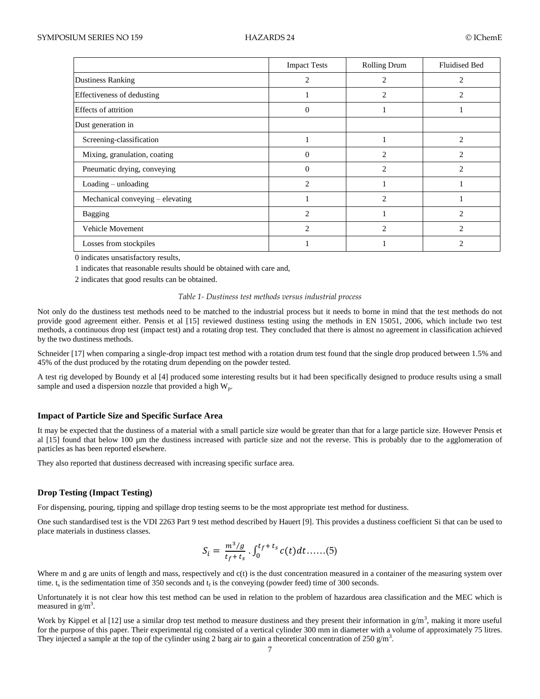|                                     | <b>Impact Tests</b> | <b>Rolling Drum</b> | <b>Fluidised Bed</b> |
|-------------------------------------|---------------------|---------------------|----------------------|
| <b>Dustiness Ranking</b>            | 2                   | 2                   | 2                    |
| Effectiveness of dedusting          |                     | 2                   | 2                    |
| <b>Effects of attrition</b>         | $\Omega$            |                     |                      |
| Dust generation in                  |                     |                     |                      |
| Screening-classification            |                     |                     | $\overline{2}$       |
| Mixing, granulation, coating        | $\Omega$            | $\overline{c}$      | $\overline{c}$       |
| Pneumatic drying, conveying         | $\theta$            | $\mathfrak{D}$      | $\mathfrak{D}$       |
| $\text{Loading} - \text{unloading}$ | $\mathfrak{D}$      |                     |                      |
| Mechanical conveying – elevating    |                     | $\mathfrak{D}$      |                      |
| <b>Bagging</b>                      | $\mathfrak{D}$      |                     | $\mathfrak{D}$       |
| Vehicle Movement                    | $\mathcal{D}$       | $\mathfrak{D}$      | っ                    |
| Losses from stockpiles              |                     |                     |                      |

0 indicates unsatisfactory results,

1 indicates that reasonable results should be obtained with care and,

2 indicates that good results can be obtained.

#### *Table 1- Dustiness test methods versus industrial process*

Not only do the dustiness test methods need to be matched to the industrial process but it needs to borne in mind that the test methods do not provide good agreement either. Pensis et al [15] reviewed dustiness testing using the methods in EN 15051, 2006, which include two test methods, a continuous drop test (impact test) and a rotating drop test. They concluded that there is almost no agreement in classification achieved by the two dustiness methods.

Schneider [17] when comparing a single-drop impact test method with a rotation drum test found that the single drop produced between 1.5% and 45% of the dust produced by the rotating drum depending on the powder tested.

A test rig developed by Boundy et al [4] produced some interesting results but it had been specifically designed to produce results using a small sample and used a dispersion nozzle that provided a high  $W_p$ .

### **Impact of Particle Size and Specific Surface Area**

It may be expected that the dustiness of a material with a small particle size would be greater than that for a large particle size. However Pensis et al [15] found that below 100 µm the dustiness increased with particle size and not the reverse. This is probably due to the agglomeration of particles as has been reported elsewhere.

They also reported that dustiness decreased with increasing specific surface area.

#### **Drop Testing (Impact Testing)**

For dispensing, pouring, tipping and spillage drop testing seems to be the most appropriate test method for dustiness.

One such standardised test is the VDI 2263 Part 9 test method described by Hauert [9]. This provides a dustiness coefficient Si that can be used to place materials in dustiness classes.

$$
S_i = \frac{m^3/g}{t_f + t_s} \cdot \int_0^{t_f + t_s} c(t) dt \dots (5)
$$

Where m and g are units of length and mass, respectively and  $c(t)$  is the dust concentration measured in a container of the measuring system over time.  $t_s$  is the sedimentation time of 350 seconds and  $t_f$  is the conveying (powder feed) time of 300 seconds.

Unfortunately it is not clear how this test method can be used in relation to the problem of hazardous area classification and the MEC which is measured in  $g/m<sup>3</sup>$ .

Work by Kippel et al [12] use a similar drop test method to measure dustiness and they present their information in  $g/m<sup>3</sup>$ , making it more useful for the purpose of this paper. Their experimental rig consisted of a vertical cylinder 300 mm in diameter with a volume of approximately 75 litres. They injected a sample at the top of the cylinder using 2 barg air to gain a theoretical concentration of 250  $\text{g/m}^3$ .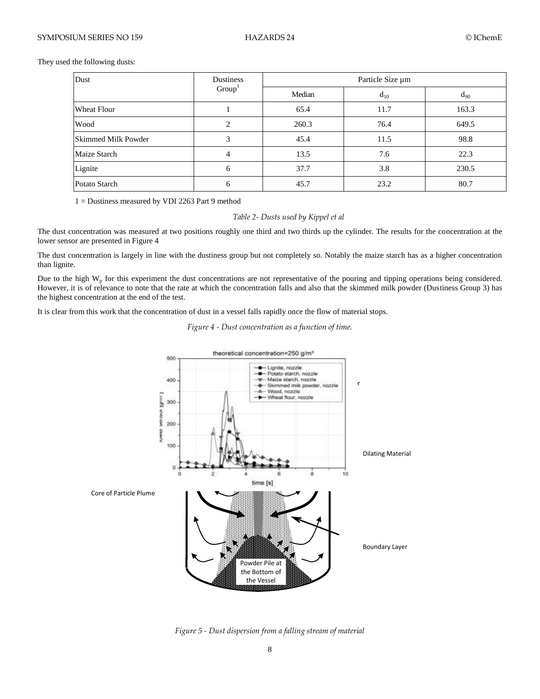They used the following dusts:

| Dust                | <b>Dustiness</b><br>Group <sup>1</sup> | Particle Size µm |          |          |
|---------------------|----------------------------------------|------------------|----------|----------|
|                     |                                        | Median           | $d_{10}$ | $d_{90}$ |
| <b>Wheat Flour</b>  |                                        | 65.4             | 11.7     | 163.3    |
| Wood                | $\overline{c}$                         | 260.3            | 76.4     | 649.5    |
| Skimmed Milk Powder | 3                                      | 45.4             | 11.5     | 98.8     |
| Maize Starch        | 4                                      | 13.5             | 7.6      | 22.3     |
| Lignite             | 6                                      | 37.7             | 3.8      | 230.5    |
| Potato Starch       | 6                                      | 45.7             | 23.2     | 80.7     |

1 = Dustiness measured by VDI 2263 Part 9 method

## *Table 2- Dusts used by Kippel et al*

The dust concentration was measured at two positions roughly one third and two thirds up the cylinder. The results for the concentration at the lower sensor are presented in Figure 4

The dust concentration is largely in line with the dustiness group but not completely so. Notably the maize starch has as a higher concentration than lignite.

Due to the high  $W_p$  for this experiment the dust concentrations are not representative of the pouring and tipping operations being considered. However, it is of relevance to note that the rate at which the concentration falls and also that the skimmed milk powder (Dustiness Group 3) has the highest concentration at the end of the test.

It is clear from this work that the concentration of dust in a vessel falls rapidly once the flow of material stops.





*Figure 5 - Dust dispersion from a falling stream of material*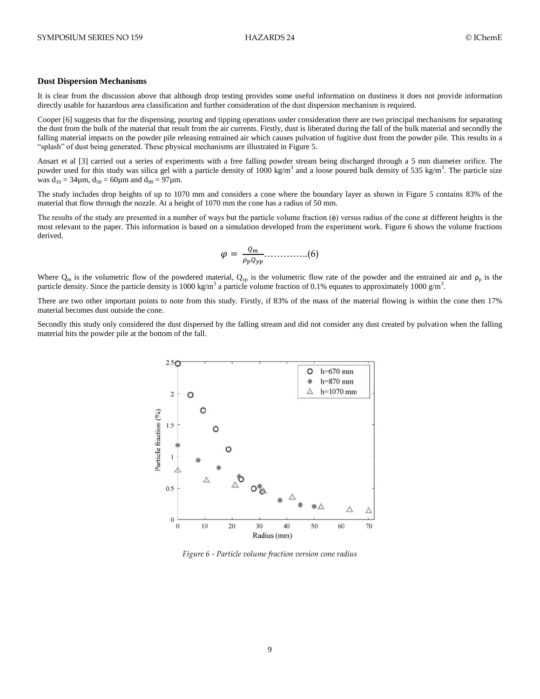### **Dust Dispersion Mechanisms**

It is clear from the discussion above that although drop testing provides some useful information on dustiness it does not provide information directly usable for hazardous area classification and further consideration of the dust dispersion mechanism is required.

Cooper [6] suggests that for the dispensing, pouring and tipping operations under consideration there are two principal mechanisms for separating the dust from the bulk of the material that result from the air currents. Firstly, dust is liberated during the fall of the bulk material and secondly the falling material impacts on the powder pile releasing entrained air which causes pulvation of fugitive dust from the powder pile. This results in a "splash" of dust being generated. These physical mechanisms are illustrated in Figure 5.

Ansart et al [3] carried out a series of experiments with a free falling powder stream being discharged through a 5 mm diameter orifice. The powder used for this study was silica gel with a particle density of 1000 kg/m<sup>3</sup> and a loose poured bulk density of 535 kg/m<sup>3</sup>. The particle size was  $d_{10} = 34 \mu m$ ,  $d_{50} = 60 \mu m$  and  $d_{90} = 97 \mu m$ .

The study includes drop heights of up to 1070 mm and considers a cone where the boundary layer as shown in Figure 5 contains 83% of the material that flow through the nozzle. At a height of 1070 mm the cone has a radius of 50 mm.

The results of the study are presented in a number of ways but the particle volume fraction  $(\phi)$  versus radius of the cone at different heights is the most relevant to the paper. This information is based on a simulation developed from the experiment work. Figure 6 shows the volume fractions derived.

 …………..(6)

Where  $Q_m$  is the volumetric flow of the powdered material,  $Q_{yp}$  is the volumetric flow rate of the powder and the entrained air and  $\rho_p$  is the particle density. Since the particle density is 1000 kg/m<sup>3</sup> a particle volume fraction of 0.1% equates to approximately 1000 g/m<sup>3</sup>.

There are two other important points to note from this study. Firstly, if 83% of the mass of the material flowing is within the cone then 17% material becomes dust outside the cone.

Secondly this study only considered the dust dispersed by the falling stream and did not consider any dust created by pulvation when the falling material hits the powder pile at the bottom of the fall.



*Figure 6 - Particle volume fraction version cone radius*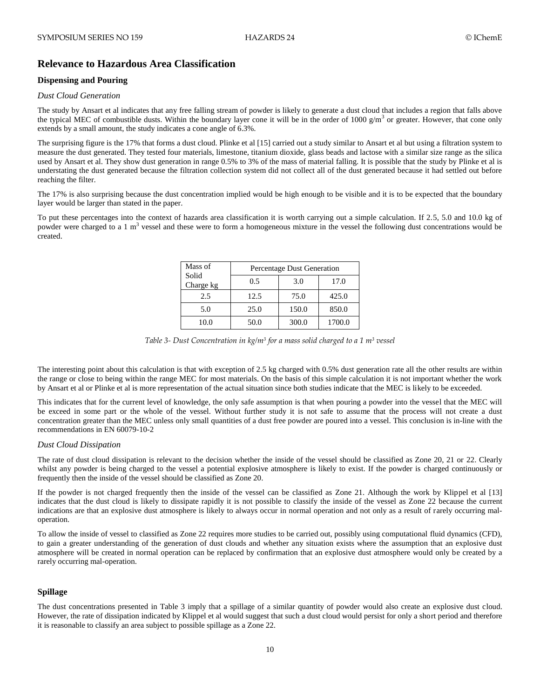# **Relevance to Hazardous Area Classification**

## **Dispensing and Pouring**

## *Dust Cloud Generation*

The study by Ansart et al indicates that any free falling stream of powder is likely to generate a dust cloud that includes a region that falls above the typical MEC of combustible dusts. Within the boundary layer cone it will be in the order of 1000  $g/m<sup>3</sup>$  or greater. However, that cone only extends by a small amount, the study indicates a cone angle of 6.3%.

The surprising figure is the 17% that forms a dust cloud. Plinke et al [15] carried out a study similar to Ansart et al but using a filtration system to measure the dust generated. They tested four materials, limestone, titanium dioxide, glass beads and lactose with a similar size range as the silica used by Ansart et al. They show dust generation in range 0.5% to 3% of the mass of material falling. It is possible that the study by Plinke et al is understating the dust generated because the filtration collection system did not collect all of the dust generated because it had settled out before reaching the filter.

The 17% is also surprising because the dust concentration implied would be high enough to be visible and it is to be expected that the boundary layer would be larger than stated in the paper.

To put these percentages into the context of hazards area classification it is worth carrying out a simple calculation. If 2.5, 5.0 and 10.0 kg of powder were charged to a 1  $m<sup>3</sup>$  vessel and these were to form a homogeneous mixture in the vessel the following dust concentrations would be created.

| Mass of            | Percentage Dust Generation |       |        |  |
|--------------------|----------------------------|-------|--------|--|
| Solid<br>Charge kg | 0.5                        | 3.0   | 17.0   |  |
| 2.5                | 12.5                       | 75.0  | 425.0  |  |
| 5.0                | 25.0                       | 150.0 | 850.0  |  |
| 10.0               | 50.0                       | 300.0 | 1700.0 |  |

*Table 3- Dust Concentration in kg/m<sup>3</sup> for a mass solid charged to a 1 m<sup>3</sup> vessel*

The interesting point about this calculation is that with exception of 2.5 kg charged with 0.5% dust generation rate all the other results are within the range or close to being within the range MEC for most materials. On the basis of this simple calculation it is not important whether the work by Ansart et al or Plinke et al is more representation of the actual situation since both studies indicate that the MEC is likely to be exceeded.

This indicates that for the current level of knowledge, the only safe assumption is that when pouring a powder into the vessel that the MEC will be exceed in some part or the whole of the vessel. Without further study it is not safe to assume that the process will not create a dust concentration greater than the MEC unless only small quantities of a dust free powder are poured into a vessel. This conclusion is in-line with the recommendations in EN 60079-10-2

## *Dust Cloud Dissipation*

The rate of dust cloud dissipation is relevant to the decision whether the inside of the vessel should be classified as Zone 20, 21 or 22. Clearly whilst any powder is being charged to the vessel a potential explosive atmosphere is likely to exist. If the powder is charged continuously or frequently then the inside of the vessel should be classified as Zone 20.

If the powder is not charged frequently then the inside of the vessel can be classified as Zone 21. Although the work by Klippel et al [13] indicates that the dust cloud is likely to dissipate rapidly it is not possible to classify the inside of the vessel as Zone 22 because the current indications are that an explosive dust atmosphere is likely to always occur in normal operation and not only as a result of rarely occurring maloperation.

To allow the inside of vessel to classified as Zone 22 requires more studies to be carried out, possibly using computational fluid dynamics (CFD), to gain a greater understanding of the generation of dust clouds and whether any situation exists where the assumption that an explosive dust atmosphere will be created in normal operation can be replaced by confirmation that an explosive dust atmosphere would only be created by a rarely occurring mal-operation.

## **Spillage**

The dust concentrations presented in Table 3 imply that a spillage of a similar quantity of powder would also create an explosive dust cloud. However, the rate of dissipation indicated by Klippel et al would suggest that such a dust cloud would persist for only a short period and therefore it is reasonable to classify an area subject to possible spillage as a Zone 22.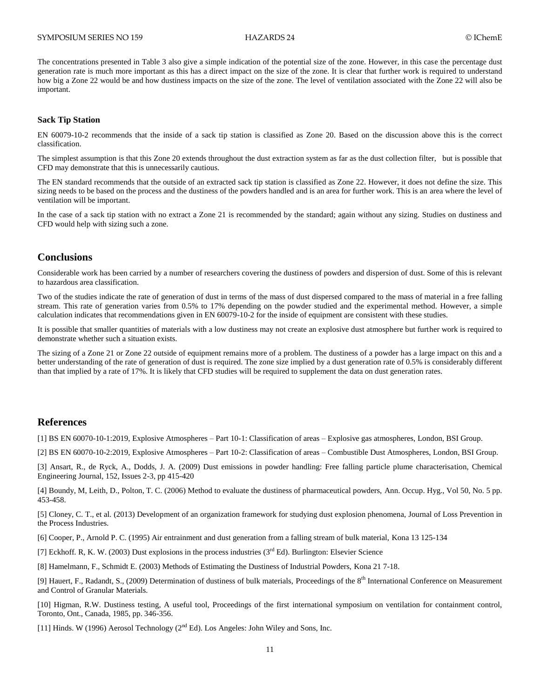The concentrations presented in Table 3 also give a simple indication of the potential size of the zone. However, in this case the percentage dust generation rate is much more important as this has a direct impact on the size of the zone. It is clear that further work is required to understand how big a Zone 22 would be and how dustiness impacts on the size of the zone. The level of ventilation associated with the Zone 22 will also be important.

#### **Sack Tip Station**

EN 60079-10-2 recommends that the inside of a sack tip station is classified as Zone 20. Based on the discussion above this is the correct classification.

The simplest assumption is that this Zone 20 extends throughout the dust extraction system as far as the dust collection filter, but is possible that CFD may demonstrate that this is unnecessarily cautious.

The EN standard recommends that the outside of an extracted sack tip station is classified as Zone 22. However, it does not define the size. This sizing needs to be based on the process and the dustiness of the powders handled and is an area for further work. This is an area where the level of ventilation will be important.

In the case of a sack tip station with no extract a Zone 21 is recommended by the standard; again without any sizing. Studies on dustiness and CFD would help with sizing such a zone.

## **Conclusions**

Considerable work has been carried by a number of researchers covering the dustiness of powders and dispersion of dust. Some of this is relevant to hazardous area classification.

Two of the studies indicate the rate of generation of dust in terms of the mass of dust dispersed compared to the mass of material in a free falling stream. This rate of generation varies from 0.5% to 17% depending on the powder studied and the experimental method. However, a simple calculation indicates that recommendations given in EN 60079-10-2 for the inside of equipment are consistent with these studies.

It is possible that smaller quantities of materials with a low dustiness may not create an explosive dust atmosphere but further work is required to demonstrate whether such a situation exists.

The sizing of a Zone 21 or Zone 22 outside of equipment remains more of a problem. The dustiness of a powder has a large impact on this and a better understanding of the rate of generation of dust is required. The zone size implied by a dust generation rate of 0.5% is considerably different than that implied by a rate of 17%. It is likely that CFD studies will be required to supplement the data on dust generation rates.

## **References**

[1] BS EN 60070-10-1:2019, Explosive Atmospheres – Part 10-1: Classification of areas – Explosive gas atmospheres, London, BSI Group.

[2] BS EN 60070-10-2:2019, Explosive Atmospheres – Part 10-2: Classification of areas – Combustible Dust Atmospheres, London, BSI Group.

[3] Ansart, R., de Ryck, A., Dodds, J. A. (2009) Dust emissions in powder handling: Free falling particle plume characterisation, Chemical Engineering Journal, 152, Issues 2-3, pp 415-420

[4] Boundy, M, Leith, D., Polton, T. C. (2006) Method to evaluate the dustiness of pharmaceutical powders, Ann. Occup. Hyg., Vol 50, No. 5 pp. 453-458.

[5] Cloney, C. T., et al. (2013) Development of an organization framework for studying dust explosion phenomena, Journal of Loss Prevention in the Process Industries.

[6] Cooper, P., Arnold P. C. (1995) Air entrainment and dust generation from a falling stream of bulk material, Kona 13 125-134

[7] Eckhoff. R, K. W. (2003) Dust explosions in the process industries ( $3<sup>rd</sup>$  Ed). Burlington: Elsevier Science

[8] Hamelmann, F., Schmidt E. (2003) Methods of Estimating the Dustiness of Industrial Powders, Kona 21 7-18.

[9] Hauert, F., Radandt, S., (2009) Determination of dustiness of bulk materials, Proceedings of the 8<sup>th</sup> International Conference on Measurement and Control of Granular Materials.

[10] Higman, R.W. Dustiness testing, A useful tool, Proceedings of the first international symposium on ventilation for containment control, Toronto, Ont., Canada, 1985, pp. 346-356.

[11] Hinds. W (1996) Aerosol Technology ( $2<sup>nd</sup> Ed$ ). Los Angeles: John Wiley and Sons, Inc.